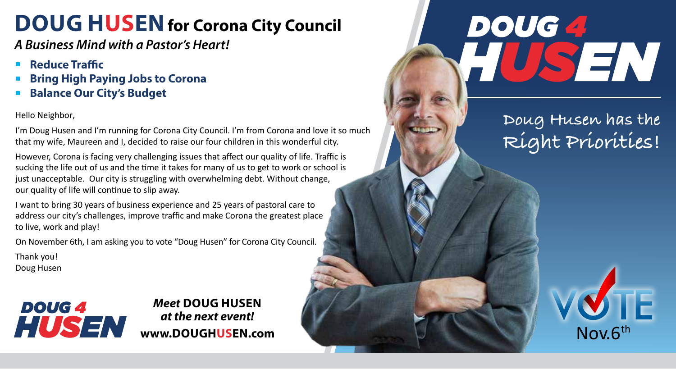## **DOUG HUSEN** for Corona City Council

*A Business Mind with a Pastor's Heart!*

- <sup>n</sup> **Reduce Traffic**
- <sup>n</sup> **Bring High Paying Jobs to Corona**
- **Balance Our City's Budget**

Hello Neighbor,

I'm Doug Husen and I'm running for Corona City Council. I'm from Corona and love it so much that my wife, Maureen and I, decided to raise our four children in this wonderful city.

However, Corona is facing very challenging issues that affect our quality of life. Traffic is sucking the life out of us and the time it takes for many of us to get to work or school is just unacceptable. Our city is struggling with overwhelming debt. Without change, our quality of life will continue to slip away.

I want to bring 30 years of business experience and 25 years of pastoral care to address our city's challenges, improve traffic and make Corona the greatest place to live, work and play!

On November 6th, I am asking you to vote "Doug Husen" for Corona City Council.

Thank you! Doug Husen



## *Meet* **DOUG HUSEN** *at the next event!* www.DOUGHUSEN.com Nov.6<sup>th</sup>

## DOUG 4 USEN

## **Doug Husen has the Right Priorities!**